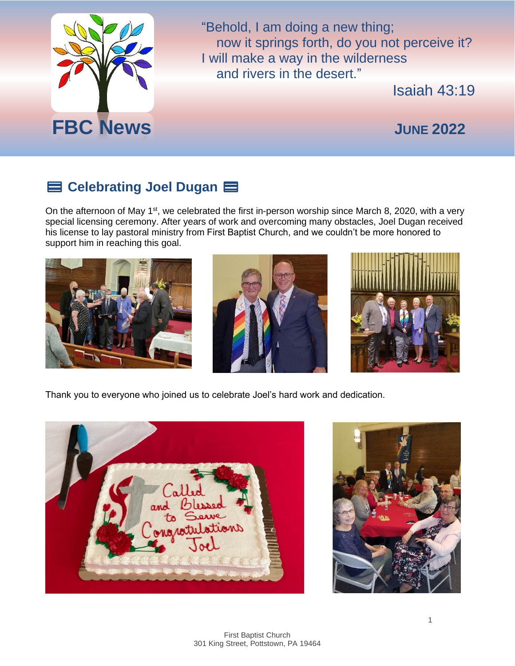

"Behold, I am doing a new thing; now it springs forth, do you not perceive it? I will make a way in the wilderness and rivers in the desert."

Isaiah 43:19

## ️⚧️ **Celebrating Joel Dugan** ️

On the afternoon of May 1<sup>st</sup>, we celebrated the first in-person worship since March 8, 2020, with a very special licensing ceremony. After years of work and overcoming many obstacles, Joel Dugan received his license to lay pastoral ministry from First Baptist Church, and we couldn't be more honored to support him in reaching this goal.







Thank you to everyone who joined us to celebrate Joel's hard work and dedication.



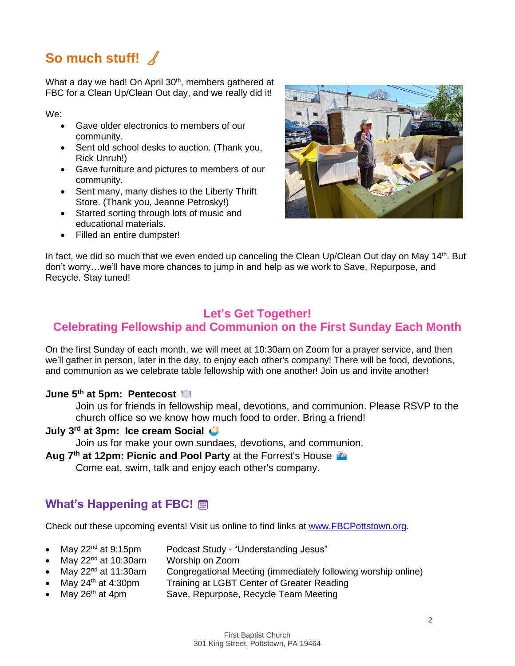## **So much stuff!**

What a day we had! On April 30<sup>th</sup>, members gathered at FBC for a Clean Up/Clean Out day, and we really did it!

We:

- Gave older electronics to members of our community.
- Sent old school desks to auction. (Thank you, Rick Unruh!)
- Gave furniture and pictures to members of our community.
- Sent many, many dishes to the Liberty Thrift Store. (Thank you, Jeanne Petrosky!)
- Started sorting through lots of music and educational materials.
- Filled an entire dumpster!



In fact, we did so much that we even ended up canceling the Clean Up/Clean Out day on May 14<sup>th</sup>. But don't worry…we'll have more chances to jump in and help as we work to Save, Repurpose, and Recycle. Stay tuned!

# **Let's Get Together!**

## **Celebrating Fellowship and Communion on the First Sunday Each Month**

On the first Sunday of each month, we will meet at 10:30am on Zoom for a prayer service, and then we'll gather in person, later in the day, to enjoy each other's company! There will be food, devotions, and communion as we celebrate table fellowship with one another! Join us and invite another!

#### **June 5th at 5pm: Pentecost**

Join us for friends in fellowship meal, devotions, and communion. Please RSVP to the church office so we know how much food to order. Bring a friend!

#### **July 3rd at 3pm: Ice cream Social**

Join us for make your own sundaes, devotions, and communion.

**Aug 7th at 12pm: Picnic and Pool Party** at the Forrest's House

Come eat, swim, talk and enjoy each other's company.

### **What's Happening at FBC!**

Check out these upcoming events! Visit us online to find links at [www.FBCPottstown.org.](http://www.fbcpottstown.org/)

- 
- May 22<sup>nd</sup> at 9:15pm Podcast Study "Understanding Jesus"
- May 22<sup>nd</sup> at 10:30am Worship on Zoom
- May  $22<sup>nd</sup>$  at 11:30am Congregational Meeting (immediately following worship online)
	- May 24<sup>th</sup> at 4:30pm Training at LGBT Center of Greater Reading
- May 26<sup>th</sup> at 4pm Save, Repurpose, Recycle Team Meeting